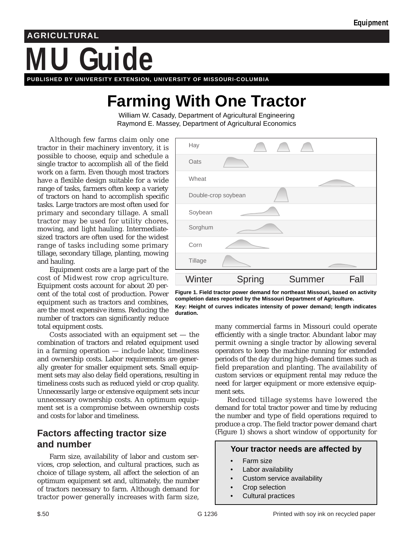# **MU Guide AGRICULTURAL**

**PUBLISHED BY UNIVERSITY EXTENSION, UNIVERSITY OF MISSOURI-COLUMBIA**

# **Farming With One Tractor**

William W. Casady, Department of Agricultural Engineering Raymond E. Massey, Department of Agricultural Economics

Although few farms claim only one tractor in their machinery inventory, it is possible to choose, equip and schedule a single tractor to accomplish all of the field work on a farm. Even though most tractors have a flexible design suitable for a wide range of tasks, farmers often keep a variety of tractors on hand to accomplish specific tasks. Large tractors are most often used for primary and secondary tillage. A small tractor may be used for utility chores, mowing, and light hauling. Intermediatesized tractors are often used for the widest range of tasks including some primary tillage, secondary tillage, planting, mowing and hauling.

Equipment costs are a large part of the cost of Midwest row crop agriculture. Equipment costs account for about 20 percent of the total cost of production. Power equipment such as tractors and combines, are the most expensive items. Reducing the number of tractors can significantly reduce total equipment costs.

Costs associated with an equipment set — the combination of tractors and related equipment used in a farming operation — include labor, timeliness and ownership costs. Labor requirements are generally greater for smaller equipment sets. Small equipment sets may also delay field operations, resulting in timeliness costs such as reduced yield or crop quality. Unnecessarily large or extensive equipment sets incur unnecessary ownership costs. An optimum equipment set is a compromise between ownership costs and costs for labor and timeliness.

# **Factors affecting tractor size and number**

Farm size, availability of labor and custom services, crop selection, and cultural practices, such as choice of tillage system, all affect the selection of an optimum equipment set and, ultimately, the number of tractors necessary to farm. Although demand for tractor power generally increases with farm size,



**Figure 1. Field tractor power demand for northeast Missouri, based on activity completion dates reported by the Missouri Department of Agriculture. Key: Height of curves indicates intensity of power demand; length indicates duration.**

many commercial farms in Missouri could operate efficiently with a single tractor. Abundant labor may permit owning a single tractor by allowing several operators to keep the machine running for extended periods of the day during high-demand times such as field preparation and planting. The availability of custom services or equipment rental may reduce the need for larger equipment or more extensive equipment sets.

Reduced tillage systems have lowered the demand for total tractor power and time by reducing the number and type of field operations required to produce a crop. The field tractor power demand chart (Figure 1) shows a short window of opportunity for

#### **Your tractor needs are affected by**

- Farm size
- Labor availability
- Custom service availability
- Crop selection
- Cultural practices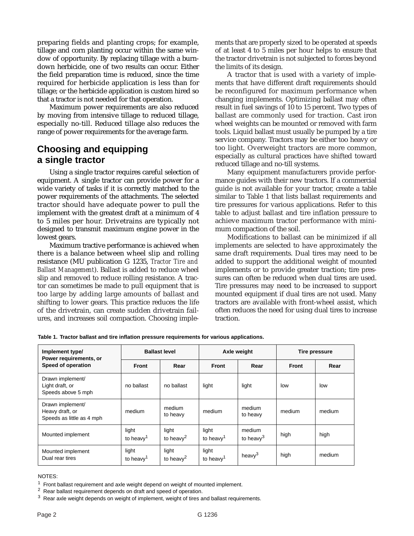preparing fields and planting crops; for example, tillage and corn planting occur within the same window of opportunity. By replacing tillage with a burndown herbicide, one of two results can occur. Either the field preparation time is reduced, since the time required for herbicide application is less than for tillage; or the herbicide application is custom hired so that a tractor is not needed for that operation.

Maximum power requirements are also reduced by moving from intensive tillage to reduced tillage, especially no-till. Reduced tillage also reduces the range of power requirements for the average farm.

### **Choosing and equipping a single tractor**

Using a single tractor requires careful selection of equipment. A single tractor can provide power for a wide variety of tasks if it is correctly matched to the power requirements of the attachments. The selected tractor should have adequate power to pull the implement with the greatest draft at a minimum of 4 to 5 miles per hour. Drivetrains are typically not designed to transmit maximum engine power in the lowest gears.

Maximum tractive performance is achieved when there is a balance between wheel slip and rolling resistance (MU publication G 1235, *Tractor Tire and Ballast Management*). Ballast is added to reduce wheel slip and removed to reduce rolling resistance. A tractor can sometimes be made to pull equipment that is too large by adding large amounts of ballast and shifting to lower gears. This practice reduces the life of the drivetrain, can create sudden drivetrain failures, and increases soil compaction. Choosing implements that are properly sized to be operated at speeds of at least 4 to 5 miles per hour helps to ensure that the tractor drivetrain is not subjected to forces beyond the limits of its design.

A tractor that is used with a variety of implements that have different draft requirements should be reconfigured for maximum performance when changing implements. Optimizing ballast may often result in fuel savings of 10 to 15 percent. Two types of ballast are commonly used for traction. Cast iron wheel weights can be mounted or removed with farm tools. Liquid ballast must usually be pumped by a tire service company. Tractors may be either too heavy or too light. Overweight tractors are more common, especially as cultural practices have shifted toward reduced tillage and no-till systems.

Many equipment manufacturers provide performance guides with their new tractors. If a commercial guide is not available for your tractor, create a table similar to Table 1 that lists ballast requirements and tire pressures for various applications. Refer to this table to adjust ballast and tire inflation pressure to achieve maximum tractor performance with minimum compaction of the soil.

Modifications to ballast can be minimized if all implements are selected to have approximately the same draft requirements. Dual tires may need to be added to support the additional weight of mounted implements or to provide greater traction; tire pressures can often be reduced when dual tires are used. Tire pressures may need to be increased to support mounted equipment if dual tires are not used. Many tractors are available with front-wheel assist, which often reduces the need for using dual tires to increase traction.

| Implement type/<br>Power requirements, or<br>Speed of operation  | <b>Ballast level</b>           |                                | Axle weight                    |                        | Tire pressure |        |
|------------------------------------------------------------------|--------------------------------|--------------------------------|--------------------------------|------------------------|---------------|--------|
|                                                                  | <b>Front</b>                   | Rear                           | <b>Front</b>                   | Rear                   | <b>Front</b>  | Rear   |
| Drawn implement/<br>Light draft, or<br>Speeds above 5 mph        | no ballast                     | no ballast                     | light                          | light                  | low           | low    |
| Drawn implement/<br>Heavy draft, or<br>Speeds as little as 4 mph | medium                         | medium<br>to heavy             | medium                         | medium<br>to heavy     | medium        | medium |
| Mounted implement                                                | light<br>to heavy <sup>1</sup> | light<br>to heavy <sup>2</sup> | light<br>to heavy <sup>1</sup> | medium<br>to heavy $3$ | high          | high   |
| Mounted implement<br>Dual rear tires                             | light<br>to heavy <sup>1</sup> | light<br>to heavy $^2$         | light<br>to heavy <sup>1</sup> | heav $v^3$             | high          | medium |

**Table 1. Tractor ballast and tire inflation pressure requirements for various applications.**

#### NOTES:

 $1$  Front ballast requirement and axle weight depend on weight of mounted implement.

2 Rear ballast requirement depends on draft and speed of operation.

<sup>&</sup>lt;sup>3</sup> Rear axle weight depends on weight of implement, weight of tires and ballast requirements.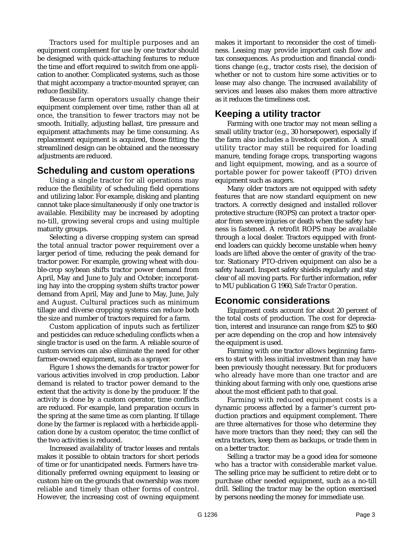Tractors used for multiple purposes and an equipment complement for use by one tractor should be designed with quick-attaching features to reduce the time and effort required to switch from one application to another. Complicated systems, such as those that might accompany a tractor-mounted sprayer, can reduce flexibility.

Because farm operators usually change their equipment complement over time, rather than all at once, the transition to fewer tractors may not be smooth. Initially, adjusting ballast, tire pressure and equipment attachments may be time consuming. As replacement equipment is acquired, those fitting the streamlined design can be obtained and the necessary adjustments are reduced.

#### **Scheduling and custom operations**

Using a single tractor for all operations may reduce the flexibility of scheduling field operations and utilizing labor. For example, disking and planting cannot take place simultaneously if only one tractor is available. Flexibility may be increased by adopting no-till, growing several crops and using multiple maturity groups.

Selecting a diverse cropping system can spread the total annual tractor power requirement over a larger period of time, reducing the peak demand for tractor power. For example, growing wheat with double-crop soybean shifts tractor power demand from April, May and June to July and October; incorporating hay into the cropping system shifts tractor power demand from April, May and June to May, June, July and August. Cultural practices such as minimum tillage and diverse cropping systems can reduce both the size and number of tractors required for a farm.

Custom application of inputs such as fertilizer and pesticides can reduce scheduling conflicts when a single tractor is used on the farm. A reliable source of custom services can also eliminate the need for other farmer-owned equipment, such as a sprayer.

Figure 1 shows the demands for tractor power for various activities involved in crop production. Labor demand is related to tractor power demand to the extent that the activity is done by the producer. If the activity is done by a custom operator, time conflicts are reduced. For example, land preparation occurs in the spring at the same time as corn planting. If tillage done by the farmer is replaced with a herbicide application done by a custom operator, the time conflict of the two activities is reduced.

Increased availability of tractor leases and rentals makes it possible to obtain tractors for short periods of time or for unanticipated needs. Farmers have traditionally preferred owning equipment to leasing or custom hire on the grounds that ownership was more reliable and timely than other forms of control. However, the increasing cost of owning equipment

makes it important to reconsider the cost of timeliness. Leasing may provide important cash flow and tax consequences*.* As production and financial conditions change (e.g., tractor costs rise), the decision of whether or not to custom hire some activities or to lease may also change. The increased availability of services and leases also makes them more attractive as it reduces the timeliness cost.

#### **Keeping a utility tractor**

Farming with one tractor may not mean selling a small utility tractor (e.g., 30 horsepower), especially if the farm also includes a livestock operation. A small utility tractor may still be required for loading manure, tending forage crops, transporting wagons and light equipment, mowing, and as a source of portable power for power takeoff (PTO) driven equipment such as augers.

Many older tractors are not equipped with safety features that are now standard equipment on new tractors. A correctly designed and installed rollover protective structure (ROPS) can protect a tractor operator from severe injuries or death when the safety harness is fastened. A retrofit ROPS may be available through a local dealer. Tractors equipped with frontend loaders can quickly become unstable when heavy loads are lifted above the center of gravity of the tractor. Stationary PTO-driven equipment can also be a safety hazard. Inspect safety shields regularly and stay clear of all moving parts. For further information, refer to MU publication G 1960, *Safe Tractor Operation.*

## **Economic considerations**

Equipment costs account for about 20 percent of the total costs of production. The cost for depreciation, interest and insurance can range from \$25 to \$60 per acre depending on the crop and how intensively the equipment is used.

Farming with one tractor allows beginning farmers to start with less initial investment than may have been previously thought necessary. But for producers who already have more than one tractor and are thinking about farming with only one, questions arise about the most efficient path to that goal.

Farming with reduced equipment costs is a dynamic process affected by a farmer's current production practices and equipment complement. There are three alternatives for those who determine they have more tractors than they need; they can sell the extra tractors, keep them as backups, or trade them in on a better tractor.

Selling a tractor may be a good idea for someone who has a tractor with considerable market value. The selling price may be sufficient to retire debt or to purchase other needed equipment, such as a no-till drill. Selling the tractor may be the option exercised by persons needing the money for immediate use.